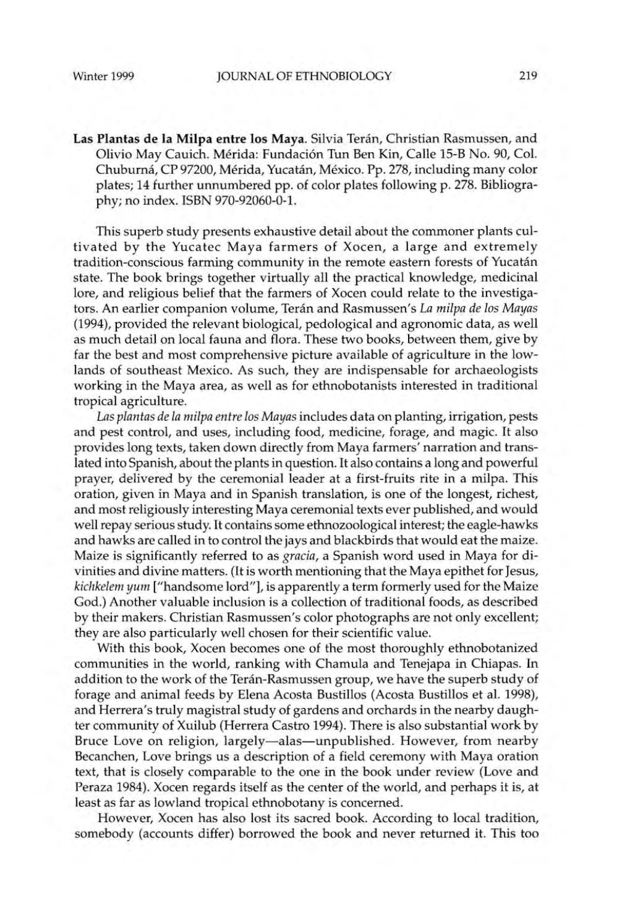Las Plantas de la **Milpa** entre los Maya. Silvia Teran, Christian Rasmussen, and Olivio May Cauich. Mérida: Fundación Tun Ben Kin, Calle 15-B No. 90, Col. Chuburná, CP 97200, Mérida, Yucatán, México. Pp. 278, including many color plates; 14 further unnumbered pp. of color plates following p. 278. Bibliography; no index. ISBN 970-92060-0-1.

This superb study presents exhaustive detail about the commoner plants cultivated by the Yucatec Maya farmers of Xocen, a large and extremely tradition-conscious farming community in the remote eastern forests of Yucatan state. The book brings together virtually all the practical knowledge, medicinal lore, and religious belief that the farmers of Xocen could relate to the investigators. An earlier companion volume, Terán and Rasmussen's La milpa de los Mayas (1994), provided the relevant biological, pedological and agronomic data, as well as much detail on local fauna and flora. These two books, between them, give by far the best and most comprehensive picture available of agriculture in the lowlands of southeast Mexico. As such, they are indispensable for archaeologists working in the Maya area, as well as for ethnobotanists interested in traditional tropical agriculture.

*Las plantas de la milpa entre los Mayas* includes data on planting, irrigation, pests and pest control, and uses, including food, medicine, forage, and magic. It also provides long texts, taken down directly from Maya farmers' narration and translated into Spanish, about the plants in question. It also contains a long and powerful prayer, delivered by the ceremonial leader at a first-fruits rite in a milpa. This oration, given in Maya and in Spanish translation, is one of the longest, richest, and most religiously interesting Maya ceremonial texts ever published, and would well repay serious study. It contains some ethnozoological interest; the eagle-hawks and hawks are called in to control the jays and blackbirds that would eat the maize. Maize is significantly referred to as *gracia,* a Spanish word used in Maya for divinities and divine matters. (It is worth mentioning that the Maya epithet for Jesus, *kichkelem yum* ["handsome lord"], is apparently a term formerly used for the Maize God.) Another valuable inclusion is a collection of traditional foods, as described by their makers. Christian Rasmussen's color photographs are not only excellent; they are also particularly well chosen for their scientific value.

With this book, Xocen becomes one of the most thoroughly ethnobotanized communities in the world, ranking with Chamula and Tenejapa in Chiapas. In addition to the work of the Teran-Rasmussen group, we have the superb study of forage and animal feeds by Elena Acosta Bustillos (Acosta Bustillos et al. 1998), and Herrera's truly magistral study of gardens and orchards in the nearby daughter community of Xuilub (Herrera Castro 1994). There is also substantial work by Bruce Love on religion, largely-alas-unpublished. However, from nearby Becanchen, Love brings us a description of a field ceremony with Maya oration text, that is closely comparable to the one in the book under review (Love and Peraza 1984). Xocen regards itself as the center of the world, and perhaps it is, at least as far as lowland tropical ethnobotany is concerned.

However, Xocen has also lost its sacred book. According to local tradition, somebody (accounts differ) borrowed the book and never returned it. This too